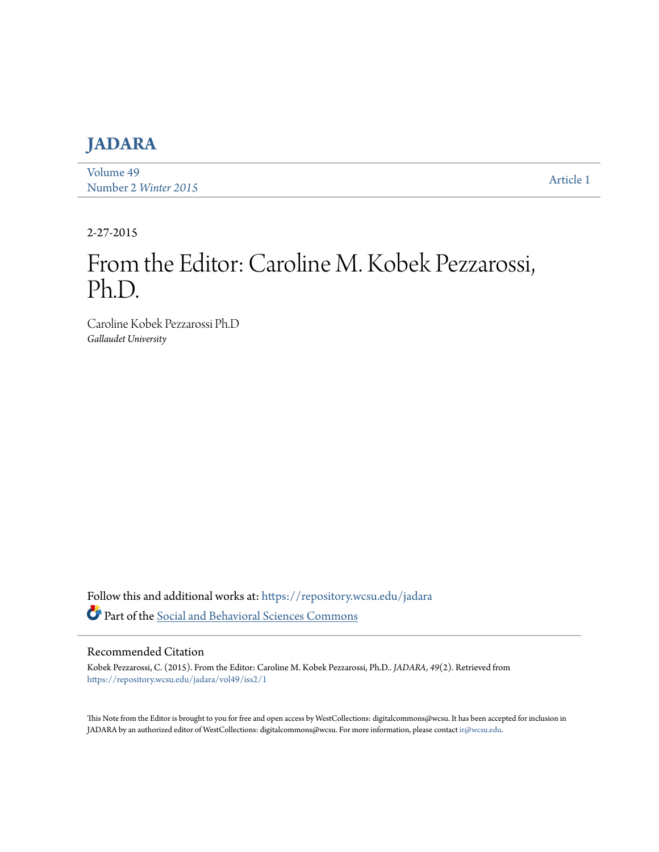## **[JADARA](https://repository.wcsu.edu/jadara?utm_source=repository.wcsu.edu%2Fjadara%2Fvol49%2Fiss2%2F1&utm_medium=PDF&utm_campaign=PDFCoverPages)**

[Volume 49](https://repository.wcsu.edu/jadara/vol49?utm_source=repository.wcsu.edu%2Fjadara%2Fvol49%2Fiss2%2F1&utm_medium=PDF&utm_campaign=PDFCoverPages) Number 2 *[Winter 2015](https://repository.wcsu.edu/jadara/vol49/iss2?utm_source=repository.wcsu.edu%2Fjadara%2Fvol49%2Fiss2%2F1&utm_medium=PDF&utm_campaign=PDFCoverPages)* [Article 1](https://repository.wcsu.edu/jadara/vol49/iss2/1?utm_source=repository.wcsu.edu%2Fjadara%2Fvol49%2Fiss2%2F1&utm_medium=PDF&utm_campaign=PDFCoverPages)

2-27-2015

# From the Editor: Caroline M. Kobek Pezzarossi, Ph.D.

Caroline Kobek Pezzarossi Ph.D *Gallaudet University*

Follow this and additional works at: [https://repository.wcsu.edu/jadara](https://repository.wcsu.edu/jadara?utm_source=repository.wcsu.edu%2Fjadara%2Fvol49%2Fiss2%2F1&utm_medium=PDF&utm_campaign=PDFCoverPages) Part of the [Social and Behavioral Sciences Commons](http://network.bepress.com/hgg/discipline/316?utm_source=repository.wcsu.edu%2Fjadara%2Fvol49%2Fiss2%2F1&utm_medium=PDF&utm_campaign=PDFCoverPages)

#### Recommended Citation

Kobek Pezzarossi, C. (2015). From the Editor: Caroline M. Kobek Pezzarossi, Ph.D.. *JADARA, 49*(2). Retrieved from [https://repository.wcsu.edu/jadara/vol49/iss2/1](https://repository.wcsu.edu/jadara/vol49/iss2/1?utm_source=repository.wcsu.edu%2Fjadara%2Fvol49%2Fiss2%2F1&utm_medium=PDF&utm_campaign=PDFCoverPages)

This Note from the Editor is brought to you for free and open access by WestCollections: digitalcommons@wcsu. It has been accepted for inclusion in JADARA by an authorized editor of WestCollections: digitalcommons@wcsu. For more information, please contact [ir@wcsu.edu.](mailto:ir@wcsu.edu)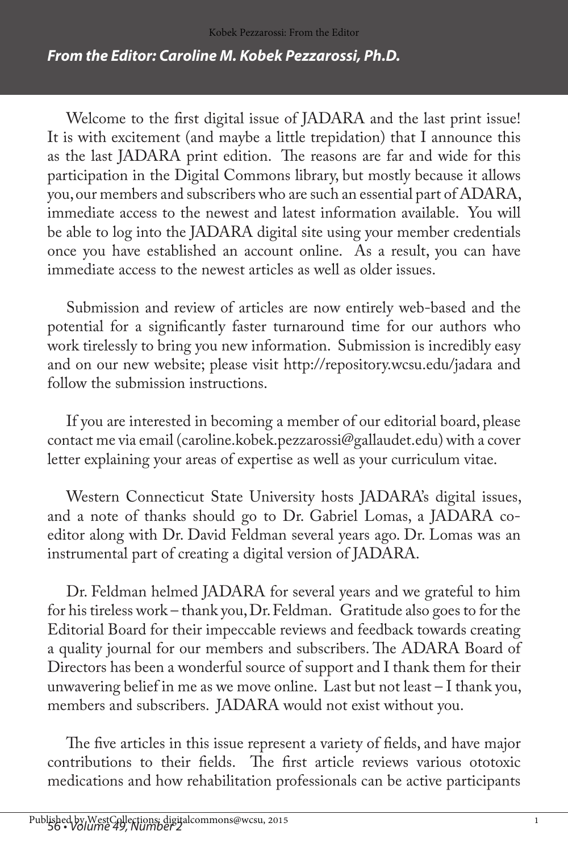#### *From the Editor: Caroline M. Kobek Pezzarossi, Ph.D.*

Welcome to the first digital issue of JADARA and the last print issue! It is with excitement (and maybe a little trepidation) that I announce this as the last JADARA print edition. The reasons are far and wide for this participation in the Digital Commons library, but mostly because it allows you, our members and subscribers who are such an essential part of ADARA, immediate access to the newest and latest information available. You will be able to log into the JADARA digital site using your member credentials once you have established an account online. As a result, you can have immediate access to the newest articles as well as older issues.

Submission and review of articles are now entirely web-based and the potential for a significantly faster turnaround time for our authors who work tirelessly to bring you new information. Submission is incredibly easy and on our new website; please visit http://repository.wcsu.edu/jadara and follow the submission instructions.

If you are interested in becoming a member of our editorial board, please contact me via email (caroline.kobek.pezzarossi@gallaudet.edu) with a cover letter explaining your areas of expertise as well as your curriculum vitae.

Western Connecticut State University hosts JADARA's digital issues, and a note of thanks should go to Dr. Gabriel Lomas, a JADARA coeditor along with Dr. David Feldman several years ago. Dr. Lomas was an instrumental part of creating a digital version of JADARA.

Dr. Feldman helmed JADARA for several years and we grateful to him for his tireless work – thank you, Dr. Feldman. Gratitude also goes to for the Editorial Board for their impeccable reviews and feedback towards creating a quality journal for our members and subscribers. The ADARA Board of Directors has been a wonderful source of support and I thank them for their unwavering belief in me as we move online. Last but not least – I thank you, members and subscribers. JADARA would not exist without you.

The five articles in this issue represent a variety of fields, and have major contributions to their fields. The first article reviews various ototoxic medications and how rehabilitation professionals can be active participants